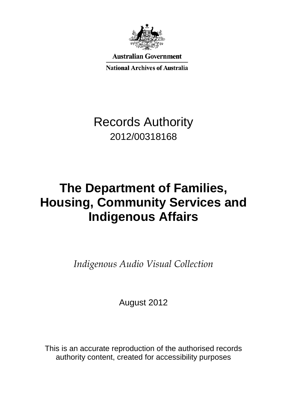

**Australian Government** 

**National Archives of Australia** 

# Records Authority 2012/00318168

# **The Department of Families, Housing, Community Services and Indigenous Affairs**

*Indigenous Audio Visual Collection*

August 2012

This is an accurate reproduction of the authorised records authority content, created for accessibility purposes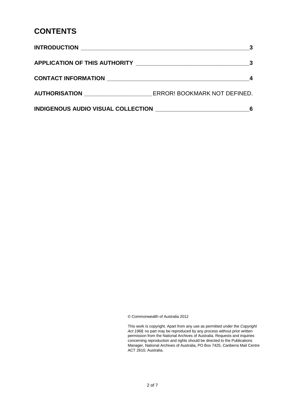### **CONTENTS**

| <u> INTRODUCTION __________________________________</u>        |                              |
|----------------------------------------------------------------|------------------------------|
| APPLICATION OF THIS AUTHORITY ________________________________ |                              |
| <b>CONTACT INFORMATION EXAMPLE AND RESIDENCE</b>               |                              |
| AUTHORISATION ___________________                              | ERROR! BOOKMARK NOT DEFINED. |
| INDIGENOUS AUDIO VISUAL COLLECTION NATIONAL COLLECTION         |                              |

© Commonwealth of Australia 2012

This work is copyright. Apart from any use as permitted under the *Copyright Act 1968,* no part may be reproduced by any process without prior written permission from the National Archives of Australia. Requests and inquiries concerning reproduction and rights should be directed to the Publications Manager, National Archives of Australia, PO Box 7425, Canberra Mail Centre ACT 2610, Australia.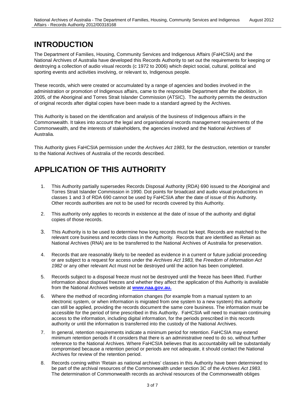# **INTRODUCTION**

The Department of Families, Housing, Community Services and Indigenous Affairs (FaHCSIA) and the National Archives of Australia have developed this Records Authority to set out the requirements for keeping or destroying a collection of audio visual records (c 1972 to 2006) which depict social, cultural, political and sporting events and activities involving, or relevant to, Indigenous people.

These records, which were created or accumulated by a range of agencies and bodies involved in the administration or promotion of Indigenous affairs, came to the responsible Department after the abolition, in 2005, of the Aboriginal and Torres Strait Islander Commission (ATSIC). The authority permits the destruction of original records after digital copies have been made to a standard agreed by the Archives.

This Authority is based on the identification and analysis of the business of Indigenous affairs in the Commonwealth. It takes into account the legal and organisational records management requirements of the Commonwealth, and the interests of stakeholders, the agencies involved and the National Archives of Australia.

This Authority gives FaHCSIA permission under the *Archives Act 1983*, for the destruction, retention or transfer to the National Archives of Australia of the records described.

## **APPLICATION OF THIS AUTHORITY**

- 1. This Authority partially supersedes Records Disposal Authority (RDA) 690 issued to the Aboriginal and Torres Strait Islander Commission in 1990. Dot points for broadcast and audio visual productions in classes 1 and 3 of RDA 690 cannot be used by FaHCSIA after the date of issue of this Authority. Other records authorities are not to be used for records covered by this Authority.
- 2. This authority only applies to records in existence at the date of issue of the authority and digital copies of those records.
- 3. This Authority is to be used to determine how long records must be kept. Records are matched to the relevant core business and records class in the Authority. Records that are identified as Retain as National Archives (RNA) are to be transferred to the National Archives of Australia for preservation.
- 4. Records that are reasonably likely to be needed as evidence in a current or future judicial proceeding or are subject to a request for access under the *Archives Act 1983,* the *Freedom of Information Act 1982* or any other relevant Act must not be destroyed until the action has been completed.
- 5. Records subject to a disposal freeze must not be destroyed until the freeze has been lifted. Further information about disposal freezes and whether they affect the application of this Authority is available from the National Archives website at **[www.naa.gov.au.](http://www.naa.gov.au/)**
- 6. Where the method of recording information changes (for example from a manual system to an electronic system, or when information is migrated from one system to a new system) this authority can still be applied, providing the records document the same core business. The information must be accessible for the period of time prescribed in this Authority. FaHCSIA will need to maintain continuing access to the information, including digital information, for the periods prescribed in this records authority or until the information is transferred into the custody of the National Archives.
- 7. In general, retention requirements indicate a minimum period for retention. FaHCSIA may extend minimum retention periods if it considers that there is an administrative need to do so, without further reference to the National Archives. Where FaHCSIA believes that its accountability will be substantially compromised because a retention period or periods are not adequate, it should contact the National Archives for review of the retention period.
- 8. Records coming within 'Retain as national archives' classes in this Authority have been determined to be part of the archival resources of the Commonwealth under section 3C of the *Archives Act 1983*. The determination of Commonwealth records as archival resources of the Commonwealth obliges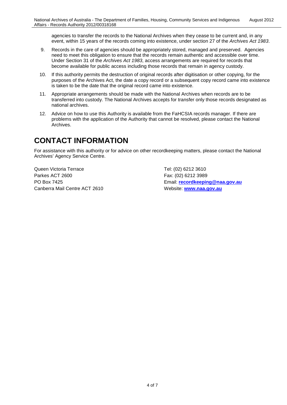agencies to transfer the records to the National Archives when they cease to be current and, in any event, within 15 years of the records coming into existence, under section 27 of the *Archives Act 1983*.

- 9. Records in the care of agencies should be appropriately stored, managed and preserved. Agencies need to meet this obligation to ensure that the records remain authentic and accessible over time. Under Section 31 of the *Archives Act 1983*, access arrangements are required for records that become available for public access including those records that remain in agency custody.
- 10. If this authority permits the destruction of original records after digitisation or other copying, for the purposes of the Archives Act, the date a copy record or a subsequent copy record came into existence is taken to be the date that the original record came into existence.
- 11. Appropriate arrangements should be made with the National Archives when records are to be transferred into custody. The National Archives accepts for transfer only those records designated as national archives.
- 12. Advice on how to use this Authority is available from the FaHCSIA records manager. If there are problems with the application of the Authority that cannot be resolved, please contact the National Archives.

### **CONTACT INFORMATION**

For assistance with this authority or for advice on other recordkeeping matters, please contact the National Archives' Agency Service Centre.

Queen Victoria Terrace Tel: (02) 6212 3610 Parkes ACT 2600 Fax: (02) 6212 3989 Canberra Mail Centre ACT 2610 Website: **[www.naa.gov.au](http://www.naa.gov.au/)**

PO Box 7425 Email: **[recordkeeping@naa.gov.au](mailto:recordkeeping@naa.gov.au)**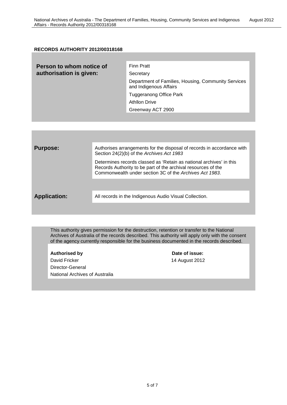#### **RECORDS AUTHORITY 2012/00318168**

| Person to whom notice of<br>authorisation is given: | <b>Finn Pratt</b><br>Secretary                                                |
|-----------------------------------------------------|-------------------------------------------------------------------------------|
|                                                     | Department of Families, Housing, Community Services<br>and Indigenous Affairs |
|                                                     | <b>Tuggeranong Office Park</b>                                                |
|                                                     | <b>Athllon Drive</b>                                                          |
|                                                     | Greenway ACT 2900                                                             |
|                                                     |                                                                               |

| <b>Purpose:</b>     | Authorises arrangements for the disposal of records in accordance with<br>Section 24(2)(b) of the Archives Act 1983                                                                             |
|---------------------|-------------------------------------------------------------------------------------------------------------------------------------------------------------------------------------------------|
|                     | Determines records classed as 'Retain as national archives' in this<br>Records Authority to be part of the archival resources of the<br>Commonwealth under section 3C of the Archives Act 1983. |
|                     |                                                                                                                                                                                                 |
| <b>Application:</b> | All records in the Indigenous Audio Visual Collection.                                                                                                                                          |
|                     |                                                                                                                                                                                                 |

This authority gives permission for the destruction, retention or transfer to the National Archives of Australia of the records described. This authority will apply only with the consent of the agency currently responsible for the business documented in the records described.

Authorised by **Date of issue:** David Fricker 14 August 2012 Director-General National Archives of Australia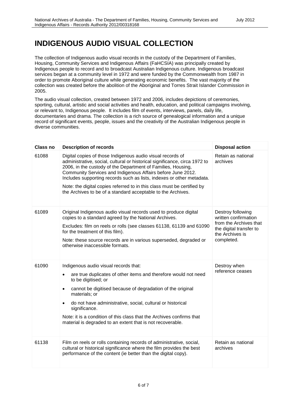## **INDIGENOUS AUDIO VISUAL COLLECTION**

The collection of Indigenous audio visual records in the custody of the Department of Families, Housing, Community Services and Indigenous Affairs (FaHCSIA) was principally created by Indigenous people to record and to broadcast Australian Indigenous culture. Indigenous broadcast services began at a community level in 1972 and were funded by the Commonwealth from 1987 in order to promote Aboriginal culture while generating economic benefits. The vast majority of the collection was created before the abolition of the Aboriginal and Torres Strait Islander Commission in 2005.

The audio visual collection, created between 1972 and 2006, includes depictions of ceremonies, sporting, cultural, artistic and social activities and health, education, and political campaigns involving, or relevant to, Indigenous people. It includes film of events, interviews, panels, daily life, documentaries and drama. The collection is a rich source of genealogical information and a unique record of significant events, people, issues and the creativity of the Australian Indigenous people in diverse communities.

| <b>Class no</b> | <b>Description of records</b>                                                                                                                                                                                                                                                                                                                                                                                                                                                               | <b>Disposal action</b>                                                                                                          |
|-----------------|---------------------------------------------------------------------------------------------------------------------------------------------------------------------------------------------------------------------------------------------------------------------------------------------------------------------------------------------------------------------------------------------------------------------------------------------------------------------------------------------|---------------------------------------------------------------------------------------------------------------------------------|
| 61088           | Digital copies of those Indigenous audio visual records of<br>administrative, social, cultural or historical significance, circa 1972 to<br>2006, in the custody of the Department of Families, Housing,<br>Community Services and Indigenous Affairs before June 2012.<br>Includes supporting records such as lists, indexes or other metadata.<br>Note: the digital copies referred to in this class must be certified by<br>the Archives to be of a standard acceptable to the Archives. | Retain as national<br>archives                                                                                                  |
| 61089           | Original Indigenous audio visual records used to produce digital<br>copies to a standard agreed by the National Archives.<br>Excludes: film on reels or rolls (see classes 61138, 61139 and 61090<br>for the treatment of this film).<br>Note: these source records are in various superseded, degraded or<br>otherwise inaccessible formats.                                                                                                                                               | Destroy following<br>written confirmation<br>from the Archives that<br>the digital transfer to<br>the Archives is<br>completed. |
| 61090           | Indigenous audio visual records that:<br>are true duplicates of other items and therefore would not need<br>$\bullet$<br>to be digitised; or<br>cannot be digitised because of degradation of the original<br>$\bullet$<br>materials; or<br>do not have administrative, social, cultural or historical<br>significance.<br>Note: it is a condition of this class that the Archives confirms that<br>material is degraded to an extent that is not recoverable.                              | Destroy when<br>reference ceases                                                                                                |
| 61138           | Film on reels or rolls containing records of administrative, social,<br>cultural or historical significance where the film provides the best<br>performance of the content (ie better than the digital copy).                                                                                                                                                                                                                                                                               | Retain as national<br>archives                                                                                                  |